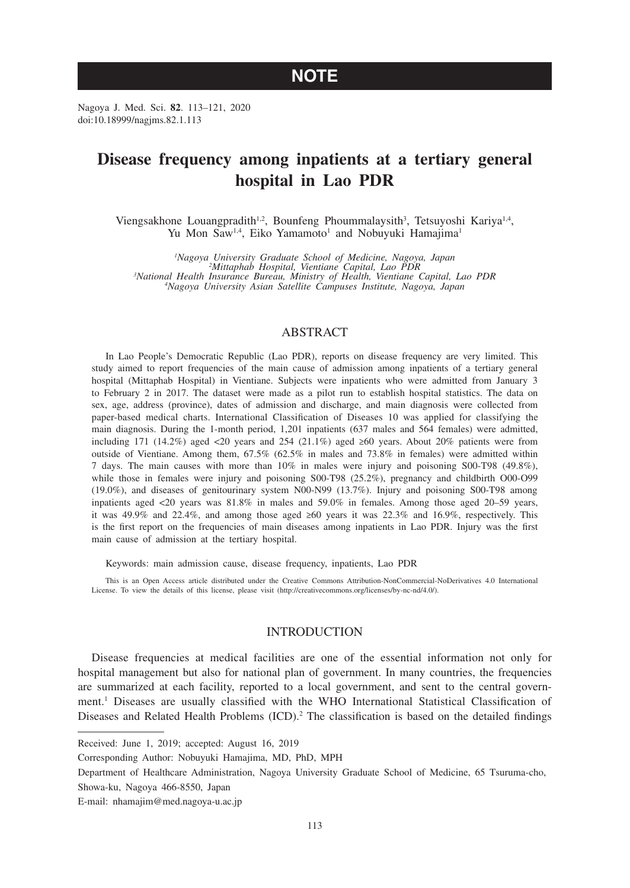# **NOTE**

Nagoya J. Med. Sci. **82**. 113–121, 2020 doi:10.18999/nagjms.82.1.113

# **Disease frequency among inpatients at a tertiary general hospital in Lao PDR**

Viengsakhone Louangpradith<sup>1,2</sup>, Bounfeng Phoummalaysith<sup>3</sup>, Tetsuyoshi Kariya<sup>1,4</sup>, Yu Mon Saw<sup>1,4</sup>, Eiko Yamamoto<sup>1</sup> and Nobuyuki Hamajima<sup>1</sup>

<sup>1</sup>Nagoya University Graduate School of Medicine, Nagoya, Japan<br><sup>2</sup>Mittaphab Hospital, Vientiane Capital, Lao PDR<br><sup>3</sup>National Health Insurance Bureau, Ministry of Health, Vientiane Capital, Lao PDR<br><sup>3</sup>Nagoya University Asi *Nagoya University Asian Satellite Campuses Institute, Nagoya, Japan*

# ABSTRACT

In Lao People's Democratic Republic (Lao PDR), reports on disease frequency are very limited. This study aimed to report frequencies of the main cause of admission among inpatients of a tertiary general hospital (Mittaphab Hospital) in Vientiane. Subjects were inpatients who were admitted from January 3 to February 2 in 2017. The dataset were made as a pilot run to establish hospital statistics. The data on sex, age, address (province), dates of admission and discharge, and main diagnosis were collected from paper-based medical charts. International Classification of Diseases 10 was applied for classifying the main diagnosis. During the 1-month period, 1,201 inpatients (637 males and 564 females) were admitted, including 171 (14.2%) aged <20 years and 254 (21.1%) aged ≥60 years. About 20% patients were from outside of Vientiane. Among them, 67.5% (62.5% in males and 73.8% in females) were admitted within 7 days. The main causes with more than 10% in males were injury and poisoning S00-T98 (49.8%), while those in females were injury and poisoning S00-T98 (25.2%), pregnancy and childbirth O00-O99 (19.0%), and diseases of genitourinary system N00-N99 (13.7%). Injury and poisoning S00-T98 among inpatients aged <20 years was 81.8% in males and 59.0% in females. Among those aged 20–59 years, it was 49.9% and 22.4%, and among those aged ≥60 years it was 22.3% and 16.9%, respectively. This is the first report on the frequencies of main diseases among inpatients in Lao PDR. Injury was the first main cause of admission at the tertiary hospital.

Keywords: main admission cause, disease frequency, inpatients, Lao PDR

This is an Open Access article distributed under the Creative Commons Attribution-NonCommercial-NoDerivatives 4.0 International License. To view the details of this license, please visit (http://creativecommons.org/licenses/by-nc-nd/4.0/).

## **INTRODUCTION**

Disease frequencies at medical facilities are one of the essential information not only for hospital management but also for national plan of government. In many countries, the frequencies are summarized at each facility, reported to a local government, and sent to the central government.1 Diseases are usually classified with the WHO International Statistical Classification of Diseases and Related Health Problems  $(ICD)$ .<sup>2</sup> The classification is based on the detailed findings

Received: June 1, 2019; accepted: August 16, 2019

Corresponding Author: Nobuyuki Hamajima, MD, PhD, MPH

Department of Healthcare Administration, Nagoya University Graduate School of Medicine, 65 Tsuruma-cho, Showa-ku, Nagoya 466-8550, Japan

E-mail: nhamajim@med.nagoya-u.ac.jp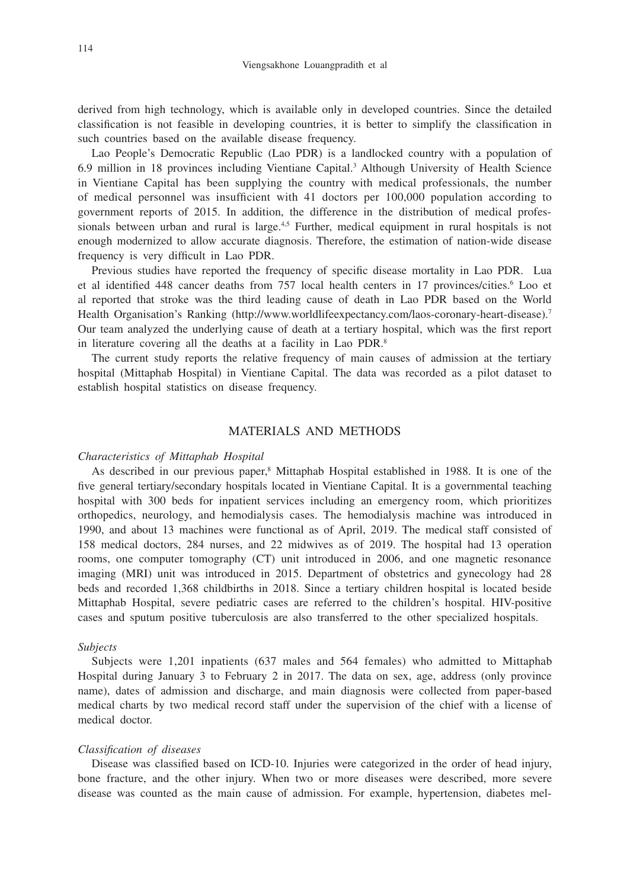derived from high technology, which is available only in developed countries. Since the detailed classification is not feasible in developing countries, it is better to simplify the classification in such countries based on the available disease frequency.

Lao People's Democratic Republic (Lao PDR) is a landlocked country with a population of 6.9 million in 18 provinces including Vientiane Capital.3 Although University of Health Science in Vientiane Capital has been supplying the country with medical professionals, the number of medical personnel was insufficient with 41 doctors per 100,000 population according to government reports of 2015. In addition, the difference in the distribution of medical professionals between urban and rural is large.<sup>4,5</sup> Further, medical equipment in rural hospitals is not enough modernized to allow accurate diagnosis. Therefore, the estimation of nation-wide disease frequency is very difficult in Lao PDR.

Previous studies have reported the frequency of specific disease mortality in Lao PDR. Lua et al identified 448 cancer deaths from 757 local health centers in 17 provinces/cities.<sup>6</sup> Loo et al reported that stroke was the third leading cause of death in Lao PDR based on the World Health Organisation's Ranking (http://www.worldlifeexpectancy.com/laos-coronary-heart-disease).7 Our team analyzed the underlying cause of death at a tertiary hospital, which was the first report in literature covering all the deaths at a facility in Lao PDR.<sup>8</sup>

The current study reports the relative frequency of main causes of admission at the tertiary hospital (Mittaphab Hospital) in Vientiane Capital. The data was recorded as a pilot dataset to establish hospital statistics on disease frequency.

# MATERIALS AND METHODS

## *Characteristics of Mittaphab Hospital*

As described in our previous paper,<sup>8</sup> Mittaphab Hospital established in 1988. It is one of the five general tertiary/secondary hospitals located in Vientiane Capital. It is a governmental teaching hospital with 300 beds for inpatient services including an emergency room, which prioritizes orthopedics, neurology, and hemodialysis cases. The hemodialysis machine was introduced in 1990, and about 13 machines were functional as of April, 2019. The medical staff consisted of 158 medical doctors, 284 nurses, and 22 midwives as of 2019. The hospital had 13 operation rooms, one computer tomography (CT) unit introduced in 2006, and one magnetic resonance imaging (MRI) unit was introduced in 2015. Department of obstetrics and gynecology had 28 beds and recorded 1,368 childbirths in 2018. Since a tertiary children hospital is located beside Mittaphab Hospital, severe pediatric cases are referred to the children's hospital. HIV-positive cases and sputum positive tuberculosis are also transferred to the other specialized hospitals.

## *Subjects*

Subjects were 1,201 inpatients (637 males and 564 females) who admitted to Mittaphab Hospital during January 3 to February 2 in 2017. The data on sex, age, address (only province name), dates of admission and discharge, and main diagnosis were collected from paper-based medical charts by two medical record staff under the supervision of the chief with a license of medical doctor.

## *Classification of diseases*

Disease was classified based on ICD-10. Injuries were categorized in the order of head injury, bone fracture, and the other injury. When two or more diseases were described, more severe disease was counted as the main cause of admission. For example, hypertension, diabetes mel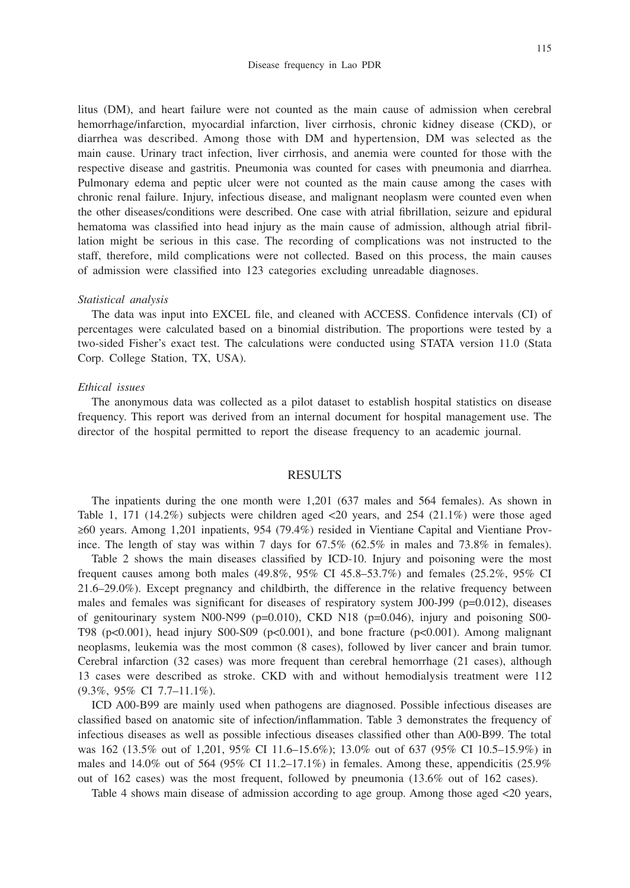litus (DM), and heart failure were not counted as the main cause of admission when cerebral hemorrhage/infarction, myocardial infarction, liver cirrhosis, chronic kidney disease (CKD), or diarrhea was described. Among those with DM and hypertension, DM was selected as the main cause. Urinary tract infection, liver cirrhosis, and anemia were counted for those with the respective disease and gastritis. Pneumonia was counted for cases with pneumonia and diarrhea. Pulmonary edema and peptic ulcer were not counted as the main cause among the cases with chronic renal failure. Injury, infectious disease, and malignant neoplasm were counted even when the other diseases/conditions were described. One case with atrial fibrillation, seizure and epidural hematoma was classified into head injury as the main cause of admission, although atrial fibrillation might be serious in this case. The recording of complications was not instructed to the staff, therefore, mild complications were not collected. Based on this process, the main causes of admission were classified into 123 categories excluding unreadable diagnoses.

#### *Statistical analysis*

The data was input into EXCEL file, and cleaned with ACCESS. Confidence intervals (CI) of percentages were calculated based on a binomial distribution. The proportions were tested by a two-sided Fisher's exact test. The calculations were conducted using STATA version 11.0 (Stata Corp. College Station, TX, USA).

# *Ethical issues*

The anonymous data was collected as a pilot dataset to establish hospital statistics on disease frequency. This report was derived from an internal document for hospital management use. The director of the hospital permitted to report the disease frequency to an academic journal.

## RESULTS

The inpatients during the one month were 1,201 (637 males and 564 females). As shown in Table 1, 171 (14.2%) subjects were children aged  $\langle 20 \rangle$  years, and 254 (21.1%) were those aged ≥60 years. Among 1,201 inpatients, 954 (79.4%) resided in Vientiane Capital and Vientiane Province. The length of stay was within 7 days for 67.5% (62.5% in males and 73.8% in females).

Table 2 shows the main diseases classified by ICD-10. Injury and poisoning were the most frequent causes among both males (49.8%, 95% CI 45.8–53.7%) and females (25.2%, 95% CI 21.6–29.0%). Except pregnancy and childbirth, the difference in the relative frequency between males and females was significant for diseases of respiratory system J00-J99 ( $p=0.012$ ), diseases of genitourinary system N00-N99 ( $p=0.010$ ), CKD N18 ( $p=0.046$ ), injury and poisoning S00-T98 (p<0.001), head injury S00-S09 (p<0.001), and bone fracture (p<0.001). Among malignant neoplasms, leukemia was the most common (8 cases), followed by liver cancer and brain tumor. Cerebral infarction (32 cases) was more frequent than cerebral hemorrhage (21 cases), although 13 cases were described as stroke. CKD with and without hemodialysis treatment were 112 (9.3%, 95% CI 7.7–11.1%).

ICD A00-B99 are mainly used when pathogens are diagnosed. Possible infectious diseases are classified based on anatomic site of infection/inflammation. Table 3 demonstrates the frequency of infectious diseases as well as possible infectious diseases classified other than A00-B99. The total was 162 (13.5% out of 1,201, 95% CI 11.6–15.6%); 13.0% out of 637 (95% CI 10.5–15.9%) in males and  $14.0\%$  out of 564 (95% CI 11.2–17.1%) in females. Among these, appendicitis (25.9% out of 162 cases) was the most frequent, followed by pneumonia (13.6% out of 162 cases).

Table 4 shows main disease of admission according to age group. Among those aged <20 years,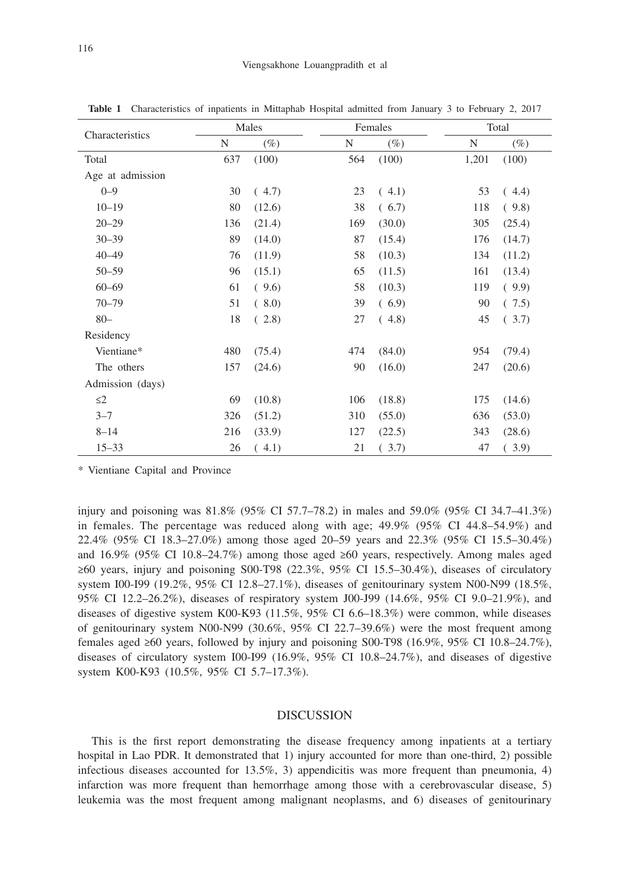| Characteristics  |     | Males  |     | Females |       | Total  |  |  |
|------------------|-----|--------|-----|---------|-------|--------|--|--|
|                  | N   | $(\%)$ | N   | $(\%)$  | N     | $(\%)$ |  |  |
| Total            | 637 | (100)  | 564 | (100)   | 1,201 | (100)  |  |  |
| Age at admission |     |        |     |         |       |        |  |  |
| $0 - 9$          | 30  | (4.7)  | 23  | (4.1)   | 53    | (4.4)  |  |  |
| $10 - 19$        | 80  | (12.6) | 38  | (6.7)   | 118   | (9.8)  |  |  |
| $20 - 29$        | 136 | (21.4) | 169 | (30.0)  | 305   | (25.4) |  |  |
| $30 - 39$        | 89  | (14.0) | 87  | (15.4)  | 176   | (14.7) |  |  |
| $40 - 49$        | 76  | (11.9) | 58  | (10.3)  | 134   | (11.2) |  |  |
| $50 - 59$        | 96  | (15.1) | 65  | (11.5)  | 161   | (13.4) |  |  |
| $60 - 69$        | 61  | (9.6)  | 58  | (10.3)  | 119   | (9.9)  |  |  |
| $70 - 79$        | 51  | (8.0)  | 39  | (6.9)   | 90    | (7.5)  |  |  |
| $80 -$           | 18  | (2.8)  | 27  | (4.8)   | 45    | (3.7)  |  |  |
| Residency        |     |        |     |         |       |        |  |  |
| Vientiane*       | 480 | (75.4) | 474 | (84.0)  | 954   | (79.4) |  |  |
| The others       | 157 | (24.6) | 90  | (16.0)  | 247   | (20.6) |  |  |
| Admission (days) |     |        |     |         |       |        |  |  |
| $\leq$ 2         | 69  | (10.8) | 106 | (18.8)  | 175   | (14.6) |  |  |
| $3 - 7$          | 326 | (51.2) | 310 | (55.0)  | 636   | (53.0) |  |  |
| $8 - 14$         | 216 | (33.9) | 127 | (22.5)  | 343   | (28.6) |  |  |
| $15 - 33$        | 26  | (4.1)  | 21  | (3.7)   | 47    | (3.9)  |  |  |

**Table 1** Characteristics of inpatients in Mittaphab Hospital admitted from January 3 to February 2, 2017

\* Vientiane Capital and Province

injury and poisoning was 81.8% (95% CI 57.7–78.2) in males and 59.0% (95% CI 34.7–41.3%) in females. The percentage was reduced along with age; 49.9% (95% CI 44.8–54.9%) and 22.4% (95% CI 18.3–27.0%) among those aged 20–59 years and 22.3% (95% CI 15.5–30.4%) and 16.9% (95% CI 10.8–24.7%) among those aged ≥60 years, respectively. Among males aged ≥60 years, injury and poisoning S00-T98 (22.3%, 95% CI 15.5–30.4%), diseases of circulatory system I00-I99 (19.2%, 95% CI 12.8–27.1%), diseases of genitourinary system N00-N99 (18.5%, 95% CI 12.2–26.2%), diseases of respiratory system J00-J99 (14.6%, 95% CI 9.0–21.9%), and diseases of digestive system K00-K93 (11.5%, 95% CI 6.6–18.3%) were common, while diseases of genitourinary system N00-N99 (30.6%, 95% CI 22.7–39.6%) were the most frequent among females aged ≥60 years, followed by injury and poisoning S00-T98 (16.9%, 95% CI 10.8–24.7%), diseases of circulatory system I00-I99 (16.9%, 95% CI 10.8–24.7%), and diseases of digestive system K00-K93 (10.5%, 95% CI 5.7–17.3%).

# DISCUSSION

This is the first report demonstrating the disease frequency among inpatients at a tertiary hospital in Lao PDR. It demonstrated that 1) injury accounted for more than one-third, 2) possible infectious diseases accounted for 13.5%, 3) appendicitis was more frequent than pneumonia, 4) infarction was more frequent than hemorrhage among those with a cerebrovascular disease, 5) leukemia was the most frequent among malignant neoplasms, and 6) diseases of genitourinary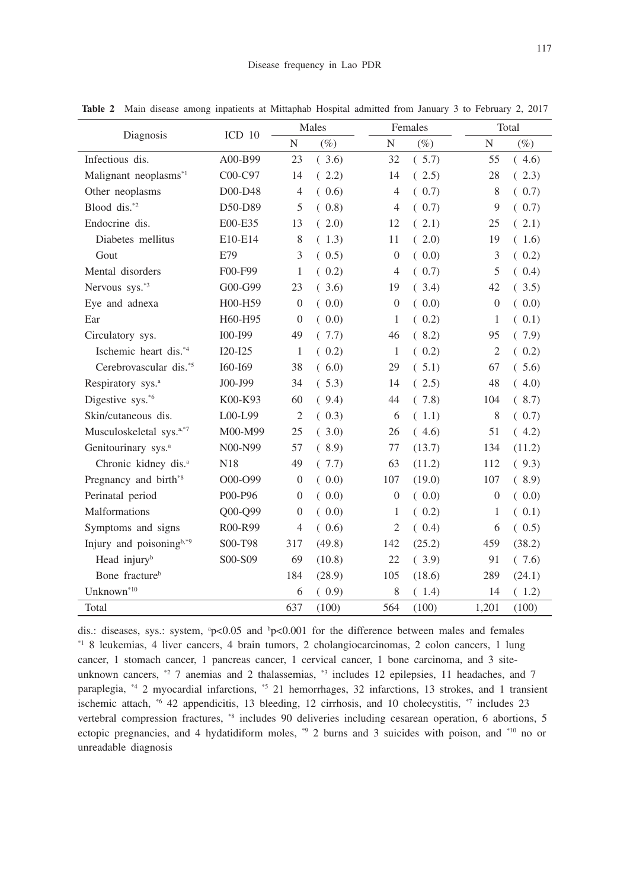| Diagnosis                            | ICD <sub>10</sub> | Males            |        |                | Females |                | Total  |  |
|--------------------------------------|-------------------|------------------|--------|----------------|---------|----------------|--------|--|
|                                      |                   | N                | $(\%)$ | $\mathbf N$    | $(\%)$  | $\mathbf N$    | $(\%)$ |  |
| Infectious dis.                      | A00-B99           | 23               | (3.6)  | 32             | (5.7)   | 55             | (4.6)  |  |
| Malignant neoplasms <sup>*1</sup>    | C00-C97           | 14               | (2.2)  | 14             | (2.5)   | 28             | (2.3)  |  |
| Other neoplasms                      | D00-D48           | $\overline{4}$   | (0.6)  | $\overline{4}$ | (0.7)   | 8              | (0.7)  |  |
| Blood dis.*2                         | D50-D89           | 5                | (0.8)  | 4              | (0.7)   | 9              | (0.7)  |  |
| Endocrine dis.                       | E00-E35           | 13               | (2.0)  | 12             | (2.1)   | 25             | (2.1)  |  |
| Diabetes mellitus                    | E10-E14           | 8                | (1.3)  | 11             | (2.0)   | 19             | (1.6)  |  |
| Gout                                 | E79               | 3                | (0.5)  | $\overline{0}$ | (0.0)   | 3              | (0.2)  |  |
| Mental disorders                     | F00-F99           | 1                | (0.2)  | $\overline{4}$ | (0.7)   | 5              | (0.4)  |  |
| Nervous sys. <sup>*3</sup>           | G00-G99           | 23               | (3.6)  | 19             | (3.4)   | 42             | (3.5)  |  |
| Eye and adnexa                       | H00-H59           | $\theta$         | (0.0)  | $\overline{0}$ | (0.0)   | $\overline{0}$ | (0.0)  |  |
| Ear                                  | H60-H95           | $\overline{0}$   | (0.0)  | 1              | (0.2)   | 1              | (0.1)  |  |
| Circulatory sys.                     | I00-I99           | 49               | (7.7)  | 46             | (8.2)   | 95             | (7.9)  |  |
| Ischemic heart dis.*4                | $I20-I25$         | 1                | (0.2)  | 1              | (0.2)   | $\overline{2}$ | (0.2)  |  |
| Cerebrovascular dis.*5               | I60-I69           | 38               | (6.0)  | 29             | (5.1)   | 67             | (5.6)  |  |
| Respiratory sys. <sup>a</sup>        | J00-J99           | 34               | (5.3)  | 14             | (2.5)   | 48             | (4.0)  |  |
| Digestive sys.*6                     | K00-K93           | 60               | (9.4)  | 44             | (7.8)   | 104            | (8.7)  |  |
| Skin/cutaneous dis.                  | $LOO-L99$         | $\overline{2}$   | (0.3)  | 6              | (1.1)   | 8              | (0.7)  |  |
| Musculoskeletal sys. <sup>a,*7</sup> | M00-M99           | 25               | (3.0)  | 26             | (4.6)   | 51             | (4.2)  |  |
| Genitourinary sys. <sup>a</sup>      | N00-N99           | 57               | (8.9)  | 77             | (13.7)  | 134            | (11.2) |  |
| Chronic kidney dis. <sup>a</sup>     | N18               | 49               | (7.7)  | 63             | (11.2)  | 112            | (9.3)  |  |
| Pregnancy and birth <sup>*8</sup>    | O00-O99           | $\boldsymbol{0}$ | (0.0)  | 107            | (19.0)  | 107            | (8.9)  |  |
| Perinatal period                     | P00-P96           | $\theta$         | (0.0)  | $\overline{0}$ | (0.0)   | $\overline{0}$ | (0.0)  |  |
| <b>Malformations</b>                 | Q00-Q99           | $\Omega$         | (0.0)  | 1              | (0.2)   | 1              | (0.1)  |  |
| Symptoms and signs                   | R00-R99           | $\overline{4}$   | (0.6)  | $\overline{2}$ | (0.4)   | 6              | (0.5)  |  |
| Injury and poisoningb,*9             | S00-T98           | 317              | (49.8) | 142            | (25.2)  | 459            | (38.2) |  |
| Head injury <sup>b</sup>             | S00-S09           | 69               | (10.8) | 22             | (3.9)   | 91             | (7.6)  |  |
| Bone fracture <sup>b</sup>           |                   | 184              | (28.9) | 105            | (18.6)  | 289            | (24.1) |  |
| $Unknown^{*10}$                      |                   | 6                | (0.9)  | 8              | (1.4)   | 14             | (1.2)  |  |
| Total                                |                   | 637              | (100)  | 564            | (100)   | 1,201          | (100)  |  |

**Table 2** Main disease among inpatients at Mittaphab Hospital admitted from January 3 to February 2, 2017

dis.: diseases, sys.: system,  $p<0.05$  and  $p<0.001$  for the difference between males and females \*1 8 leukemias, 4 liver cancers, 4 brain tumors, 2 cholangiocarcinomas, 2 colon cancers, 1 lung cancer, 1 stomach cancer, 1 pancreas cancer, 1 cervical cancer, 1 bone carcinoma, and 3 siteunknown cancers, \*2 7 anemias and 2 thalassemias, \*3 includes 12 epilepsies, 11 headaches, and 7 paraplegia, \*4 2 myocardial infarctions, \*5 21 hemorrhages, 32 infarctions, 13 strokes, and 1 transient ischemic attach,  $*6$  42 appendicitis, 13 bleeding, 12 cirrhosis, and 10 cholecystitis,  $*7$  includes 23 vertebral compression fractures, \*8 includes 90 deliveries including cesarean operation, 6 abortions, 5 ectopic pregnancies, and 4 hydatidiform moles, \*9 2 burns and 3 suicides with poison, and \*10 no or unreadable diagnosis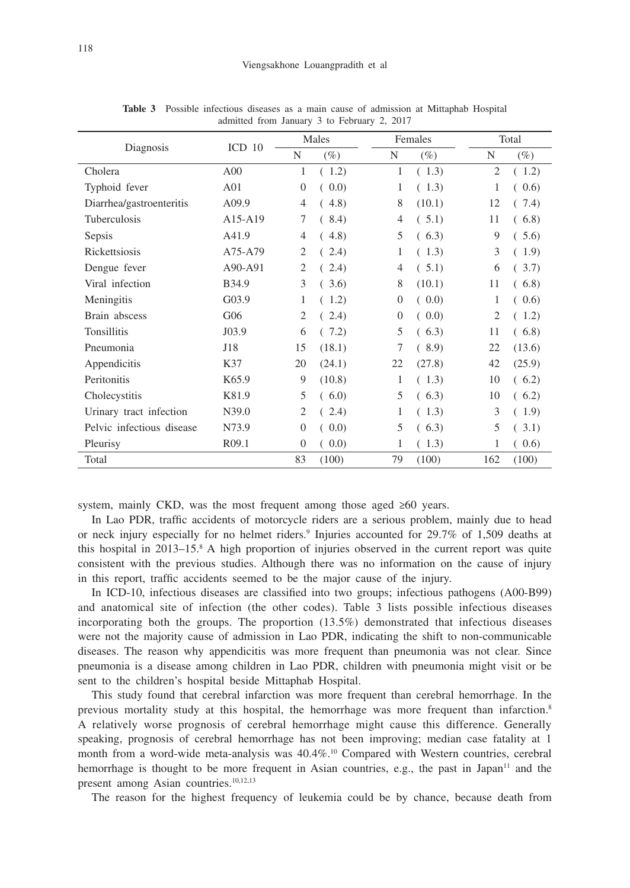| Diagnosis                 | ICD <sub>10</sub> | Males          |        |          | Females |                | Total  |  |
|---------------------------|-------------------|----------------|--------|----------|---------|----------------|--------|--|
|                           |                   | N              | $(\%)$ | N        | $(\%)$  | N              | $(\%)$ |  |
| Cholera                   | A <sub>00</sub>   | 1              | (1.2)  | 1        | (1.3)   | $\overline{2}$ | (1.2)  |  |
| Typhoid fever             | A01               | $\Omega$       | (0.0)  | 1        | (1.3)   | 1              | (0.6)  |  |
| Diarrhea/gastroenteritis  | A09.9             | 4              | (4.8)  | 8        | (10.1)  | 12             | (7.4)  |  |
| <b>Tuberculosis</b>       | A15-A19           | 7              | (8.4)  | 4        | (.5.1)  | 11             | (6.8)  |  |
| Sepsis                    | A41.9             | 4              | (4.8)  | 5        | (6.3)   | 9              | (5.6)  |  |
| Rickettsiosis             | A75-A79           | 2              | (2.4)  | 1        | (1.3)   | 3              | (1.9)  |  |
| Dengue fever              | A90-A91           | 2              | (2.4)  | 4        | (5.1)   | 6              | (3.7)  |  |
| Viral infection           | B34.9             | 3              | (3.6)  | 8        | (10.1)  | 11             | (6.8)  |  |
| Meningitis                | G03.9             | 1              | (1.2)  | $\theta$ | (0.0)   | 1              | (0.6)  |  |
| Brain abscess             | G06               | $\overline{2}$ | (2.4)  | $\theta$ | (0.0)   | 2              | (1.2)  |  |
| Tonsillitis               | J03.9             | 6              | (7.2)  | 5        | (6.3)   | 11             | (6.8)  |  |
| Pneumonia                 | J18               | 15             | (18.1) | 7        | (8.9)   | 22             | (13.6) |  |
| Appendicitis              | K37               | 20             | (24.1) | 22       | (27.8)  | 42             | (25.9) |  |
| Peritonitis               | K <sub>65.9</sub> | 9              | (10.8) | 1        | (1.3)   | 10             | (6.2)  |  |
| Cholecystitis             | K81.9             | 5              | (6.0)  | 5        | (6.3)   | 10             | (6.2)  |  |
| Urinary tract infection   | N39.0             | $\overline{2}$ | (2.4)  | 1        | (1.3)   | 3              | (1.9)  |  |
| Pelvic infectious disease | N73.9             | $\overline{0}$ | (0.0)  | 5        | (6.3)   | 5              | (3.1)  |  |
| Pleurisy                  | R09.1             | $\overline{0}$ | (0.0)  | 1        | (1.3)   | $\mathbf{1}$   | (0.6)  |  |
| Total                     |                   | 83             | (100)  | 79       | (100)   | 162            | (100)  |  |

**Table 3** Possible infectious diseases as a main cause of admission at Mittaphab Hospital admitted from January 3 to February 2, 2017

system, mainly CKD, was the most frequent among those aged  $\geq 60$  years.

In Lao PDR, traffic accidents of motorcycle riders are a serious problem, mainly due to head or neck injury especially for no helmet riders.<sup>9</sup> Injuries accounted for 29.7% of 1,509 deaths at this hospital in 2013–15.8 A high proportion of injuries observed in the current report was quite consistent with the previous studies. Although there was no information on the cause of injury in this report, traffic accidents seemed to be the major cause of the injury.

In ICD-10, infectious diseases are classified into two groups; infectious pathogens (A00-B99) and anatomical site of infection (the other codes). Table 3 lists possible infectious diseases incorporating both the groups. The proportion (13.5%) demonstrated that infectious diseases were not the majority cause of admission in Lao PDR, indicating the shift to non-communicable diseases. The reason why appendicitis was more frequent than pneumonia was not clear. Since pneumonia is a disease among children in Lao PDR, children with pneumonia might visit or be sent to the children's hospital beside Mittaphab Hospital.

This study found that cerebral infarction was more frequent than cerebral hemorrhage. In the previous mortality study at this hospital, the hemorrhage was more frequent than infarction.8 A relatively worse prognosis of cerebral hemorrhage might cause this difference. Generally speaking, prognosis of cerebral hemorrhage has not been improving; median case fatality at 1 month from a word-wide meta-analysis was 40.4%.<sup>10</sup> Compared with Western countries, cerebral hemorrhage is thought to be more frequent in Asian countries, e.g., the past in Japan<sup>11</sup> and the present among Asian countries.<sup>10,12,13</sup>

The reason for the highest frequency of leukemia could be by chance, because death from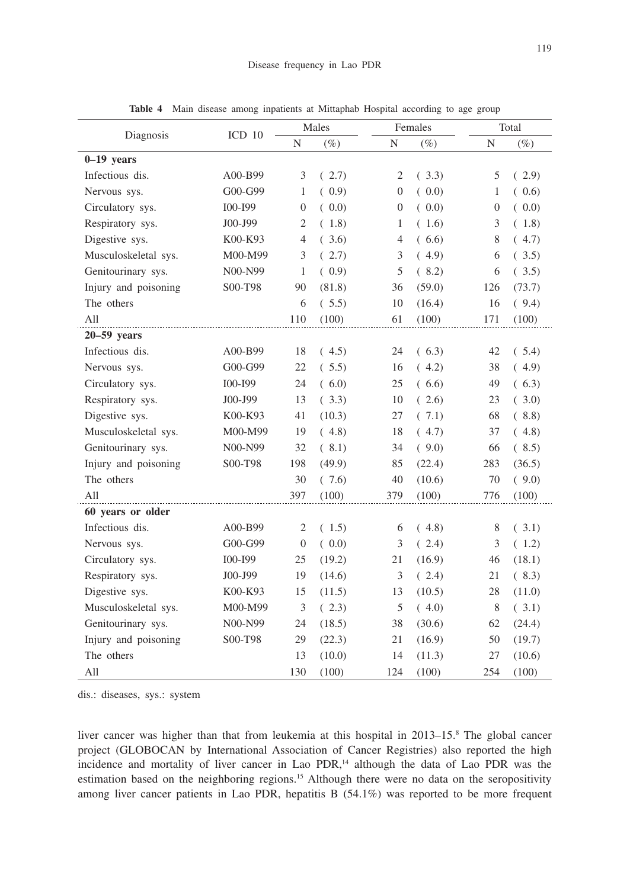| Diagnosis            |                   | Males            |        | Females          |        |                  | Total  |  |
|----------------------|-------------------|------------------|--------|------------------|--------|------------------|--------|--|
|                      | ICD <sub>10</sub> | $\mathbf N$      | $(\%)$ | N                | $(\%)$ | $\mathbf N$      | $(\%)$ |  |
| $0-19$ years         |                   |                  |        |                  |        |                  |        |  |
| Infectious dis.      | A00-B99           | 3                | (2.7)  | 2                | (3.3)  | 5                | (2.9)  |  |
| Nervous sys.         | G00-G99           | $\mathbf{1}$     | (0.9)  | $\boldsymbol{0}$ | (0.0)  | $\mathbf{1}$     | (0.6)  |  |
| Circulatory sys.     | I00-I99           | $\boldsymbol{0}$ | (0.0)  | 0                | (0.0)  | $\boldsymbol{0}$ | (0.0)  |  |
| Respiratory sys.     | J00-J99           | $\mathfrak{2}$   | (1.8)  | 1                | (1.6)  | 3                | (1.8)  |  |
| Digestive sys.       | K00-K93           | 4                | (3.6)  | 4                | (6.6)  | 8                | (4.7)  |  |
| Musculoskeletal sys. | M00-M99           | 3                | (2.7)  | 3                | (4.9)  | 6                | (3.5)  |  |
| Genitourinary sys.   | N00-N99           | 1                | (0.9)  | 5                | (8.2)  | 6                | (3.5)  |  |
| Injury and poisoning | S00-T98           | 90               | (81.8) | 36               | (59.0) | 126              | (73.7) |  |
| The others           |                   | 6                | (.5.5) | 10               | (16.4) | 16               | (9.4)  |  |
| All                  |                   | 110              | (100)  | 61               | (100)  | 171              | (100)  |  |
| $20-59$ years        |                   |                  |        |                  |        |                  |        |  |
| Infectious dis.      | A00-B99           | 18               | (4.5)  | 24               | (6.3)  | 42               | (5.4)  |  |
| Nervous sys.         | G00-G99           | 22               | (5.5)  | 16               | (4.2)  | 38               | (4.9)  |  |
| Circulatory sys.     | I00-I99           | 24               | (6.0)  | 25               | (6.6)  | 49               | (6.3)  |  |
| Respiratory sys.     | J00-J99           | 13               | (3.3)  | 10               | (2.6)  | 23               | (3.0)  |  |
| Digestive sys.       | K00-K93           | 41               | (10.3) | 27               | (7.1)  | 68               | (8.8)  |  |
| Musculoskeletal sys. | M00-M99           | 19               | (4.8)  | 18               | (4.7)  | 37               | (4.8)  |  |
| Genitourinary sys.   | N00-N99           | 32               | (8.1)  | 34               | (9.0)  | 66               | (8.5)  |  |
| Injury and poisoning | S00-T98           | 198              | (49.9) | 85               | (22.4) | 283              | (36.5) |  |
| The others           |                   | 30               | (7.6)  | $40\,$           | (10.6) | 70               | (9.0)  |  |
| All                  |                   | 397              | (100)  | 379              | (100)  | 776              | (100)  |  |
| 60 years or older    |                   |                  |        |                  |        |                  |        |  |
| Infectious dis.      | A00-B99           | 2                | (1.5)  | 6                | (4.8)  | 8                | (3.1)  |  |
| Nervous sys.         | G00-G99           | $\overline{0}$   | (0.0)  | 3                | (2.4)  | 3                | (1.2)  |  |
| Circulatory sys.     | I00-I99           | 25               | (19.2) | 21               | (16.9) | 46               | (18.1) |  |
| Respiratory sys.     | J00-J99           | 19               | (14.6) | 3                | (2.4)  | 21               | (8.3)  |  |
| Digestive sys.       | K00-K93           | 15               | (11.5) | 13               | (10.5) | 28               | (11.0) |  |
| Musculoskeletal sys. | M00-M99           | $\mathfrak{Z}$   | (2.3)  | 5                | (4.0)  | 8                | (3.1)  |  |
| Genitourinary sys.   | N00-N99           | 24               | (18.5) | 38               | (30.6) | 62               | (24.4) |  |
| Injury and poisoning | S00-T98           | 29               | (22.3) | $21\,$           | (16.9) | 50               | (19.7) |  |
| The others           |                   | 13               | (10.0) | 14               | (11.3) | 27               | (10.6) |  |
| All                  |                   | 130              | (100)  | 124              | (100)  | 254              | (100)  |  |

**Table 4** Main disease among inpatients at Mittaphab Hospital according to age group

dis.: diseases, sys.: system

liver cancer was higher than that from leukemia at this hospital in 2013–15.<sup>8</sup> The global cancer project (GLOBOCAN by International Association of Cancer Registries) also reported the high incidence and mortality of liver cancer in Lao PDR,<sup>14</sup> although the data of Lao PDR was the estimation based on the neighboring regions.<sup>15</sup> Although there were no data on the seropositivity among liver cancer patients in Lao PDR, hepatitis B (54.1%) was reported to be more frequent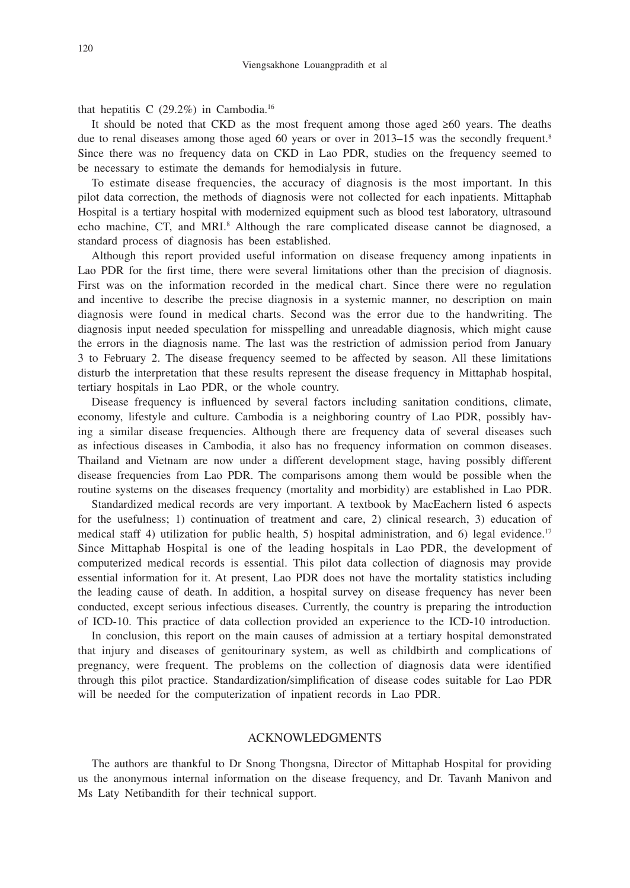that hepatitis C  $(29.2\%)$  in Cambodia.<sup>16</sup>

It should be noted that CKD as the most frequent among those aged  $\geq 60$  years. The deaths due to renal diseases among those aged 60 years or over in 2013–15 was the secondly frequent.<sup>8</sup> Since there was no frequency data on CKD in Lao PDR, studies on the frequency seemed to be necessary to estimate the demands for hemodialysis in future.

To estimate disease frequencies, the accuracy of diagnosis is the most important. In this pilot data correction, the methods of diagnosis were not collected for each inpatients. Mittaphab Hospital is a tertiary hospital with modernized equipment such as blood test laboratory, ultrasound echo machine, CT, and MRI.<sup>8</sup> Although the rare complicated disease cannot be diagnosed, a standard process of diagnosis has been established.

Although this report provided useful information on disease frequency among inpatients in Lao PDR for the first time, there were several limitations other than the precision of diagnosis. First was on the information recorded in the medical chart. Since there were no regulation and incentive to describe the precise diagnosis in a systemic manner, no description on main diagnosis were found in medical charts. Second was the error due to the handwriting. The diagnosis input needed speculation for misspelling and unreadable diagnosis, which might cause the errors in the diagnosis name. The last was the restriction of admission period from January 3 to February 2. The disease frequency seemed to be affected by season. All these limitations disturb the interpretation that these results represent the disease frequency in Mittaphab hospital, tertiary hospitals in Lao PDR, or the whole country.

Disease frequency is influenced by several factors including sanitation conditions, climate, economy, lifestyle and culture. Cambodia is a neighboring country of Lao PDR, possibly having a similar disease frequencies. Although there are frequency data of several diseases such as infectious diseases in Cambodia, it also has no frequency information on common diseases. Thailand and Vietnam are now under a different development stage, having possibly different disease frequencies from Lao PDR. The comparisons among them would be possible when the routine systems on the diseases frequency (mortality and morbidity) are established in Lao PDR.

Standardized medical records are very important. A textbook by MacEachern listed 6 aspects for the usefulness; 1) continuation of treatment and care, 2) clinical research, 3) education of medical staff 4) utilization for public health, 5) hospital administration, and 6) legal evidence.<sup>17</sup> Since Mittaphab Hospital is one of the leading hospitals in Lao PDR, the development of computerized medical records is essential. This pilot data collection of diagnosis may provide essential information for it. At present, Lao PDR does not have the mortality statistics including the leading cause of death. In addition, a hospital survey on disease frequency has never been conducted, except serious infectious diseases. Currently, the country is preparing the introduction of ICD-10. This practice of data collection provided an experience to the ICD-10 introduction.

In conclusion, this report on the main causes of admission at a tertiary hospital demonstrated that injury and diseases of genitourinary system, as well as childbirth and complications of pregnancy, were frequent. The problems on the collection of diagnosis data were identified through this pilot practice. Standardization/simplification of disease codes suitable for Lao PDR will be needed for the computerization of inpatient records in Lao PDR.

# ACKNOWLEDGMENTS

The authors are thankful to Dr Snong Thongsna, Director of Mittaphab Hospital for providing us the anonymous internal information on the disease frequency, and Dr. Tavanh Manivon and Ms Laty Netibandith for their technical support.